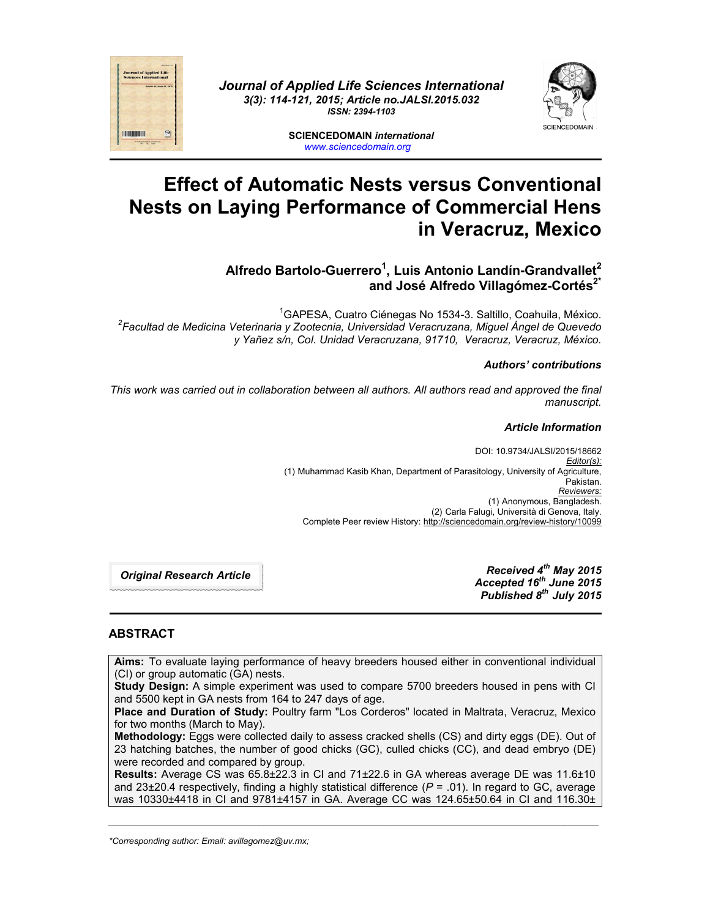

*Journal of Applied Life Sciences International 3(3): 114-121, 2015; Article no.JALSI.2015.032 ISSN: 2394-1103*



**SCIENCEDOMAIN** *international www.sciencedomain.org*

# **Effect of Automatic Nests versus Conventional Nests on Laying Performance of Commercial Hens in Veracruz, Mexico**

## **Alfredo Bartolo-Guerrero1 , Luis Antonio Landín-Grandvallet2** and José Alfredo Villagómez-Cortés<sup>2\*</sup>

<sup>1</sup>GAPESA, Cuatro Ciénegas No 1534-3. Saltillo, Coahuila, México. GAPESA, Cuatro Ciénegas No 1534-3. Saltillo, Coahuila, México. *<sup>2</sup> Facultad de Medicina Veterinaria y Zootecnia, Universidad Veracruzana, Miguel Ángel de Quevedo y Yañez s/n, Col. Unidad Veracruzana, 91710, Veracruz, Veracruz, México.*

#### *Authors' contributions*

*This work was carried out in collaboration between all authors. All authors read and approved the final manuscript.*

#### *Article Information*

DOI: 10.9734/JALSI/2015/18662 *Editor(s):* (1) Muhammad Kasib Khan, Department of Parasitology, University of Agriculture, Pakistan. *Reviewers:* (1) Anonymous, Bangladesh. (2) Carla Falugi, Università di Genova, Italy. Complete Peer review History: http://sciencedomain.org/review-history/10099

*Original Research Article*

*Received 4th May 2015 Accepted 16th June 2015 Published 8th July 2015*

## **ABSTRACT**

**Aims:** To evaluate laying performance of heavy breeders housed either in conventional individual (CI) or group automatic (GA) nests.

**Study Design:** A simple experiment was used to compare 5700 breeders housed in pens with CI and 5500 kept in GA nests from 164 to 247 days of age.

**Place and Duration of Study:** Poultry farm "Los Corderos" located in Maltrata, Veracruz, Mexico for two months (March to May).

**Methodology:** Eggs were collected daily to assess cracked shells (CS) and dirty eggs (DE). Out of 23 hatching batches, the number of good chicks (GC), culled chicks (CC), and dead embryo (DE) were recorded and compared by group.

**Results:** Average CS was 65.8±22.3 in CI and 71±22.6 in GA whereas average DE was 11.6±10 and 23±20.4 respectively, finding a highly statistical difference (*P* = .01). In regard to GC, average was 10330±4418 in CI and 9781±4157 in GA. Average CC was 124.65±50.64 in CI and 116.30±

*\_\_\_\_\_\_\_\_\_\_\_\_\_\_\_\_\_\_\_\_\_\_\_\_\_\_\_\_\_\_\_\_\_\_\_\_\_\_\_\_\_\_\_\_\_\_\_\_\_\_\_\_\_\_\_\_\_\_\_\_\_\_\_\_\_\_\_\_\_\_\_\_\_\_\_\_\_\_\_\_\_\_\_\_\_\_\_\_\_\_\_\_\_\_\_\_\_\_\_\_\_*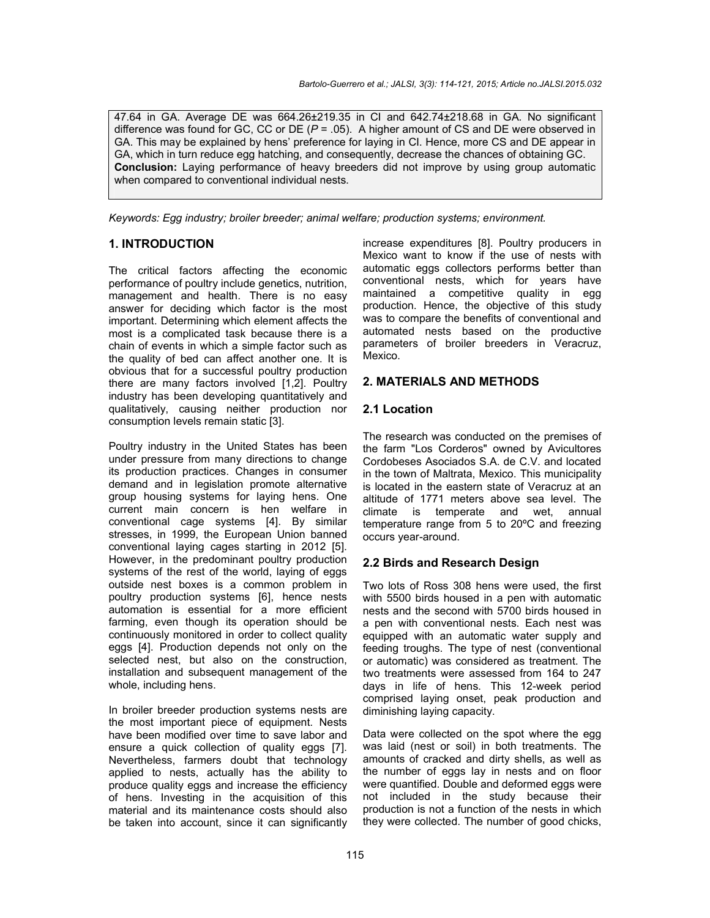47.64 in GA. Average DE was 664.26±219.35 in CI and 642.74±218.68 in GA. No significant difference was found for GC, CC or DE (*P* = .05). A higher amount of CS and DE were observed in GA. This may be explained by hens' preference for laying in CI. Hence, more CS and DE appear in GA, which in turn reduce egg hatching, and consequently, decrease the chances of obtaining GC. **Conclusion:** Laying performance of heavy breeders did not improve by using group automatic when compared to conventional individual nests.

*Keywords: Egg industry; broiler breeder; animal welfare; production systems; environment.*

## **1. INTRODUCTION**

The critical factors affecting the economic performance of poultry include genetics, nutrition, management and health. There is no easy answer for deciding which factor is the most important. Determining which element affects the most is a complicated task because there is a chain of events in which a simple factor such as the quality of bed can affect another one. It is obvious that for a successful poultry production there are many factors involved [1,2]. Poultry industry has been developing quantitatively and qualitatively, causing neither production nor consumption levels remain static [3].

Poultry industry in the United States has been under pressure from many directions to change its production practices. Changes in consumer demand and in legislation promote alternative group housing systems for laying hens. One current main concern is hen welfare in conventional cage systems [4]. By similar stresses, in 1999, the European Union banned conventional laying cages starting in 2012 [5]. However, in the predominant poultry production systems of the rest of the world, laying of eggs outside nest boxes is a common problem in poultry production systems [6], hence nests automation is essential for a more efficient farming, even though its operation should be continuously monitored in order to collect quality eggs [4]. Production depends not only on the selected nest, but also on the construction, installation and subsequent management of the whole, including hens.

In broiler breeder production systems nests are the most important piece of equipment. Nests have been modified over time to save labor and ensure a quick collection of quality eggs [7]. Nevertheless, farmers doubt that technology applied to nests, actually has the ability to produce quality eggs and increase the efficiency of hens. Investing in the acquisition of this material and its maintenance costs should also be taken into account, since it can significantly increase expenditures [8]. Poultry producers in Mexico want to know if the use of nests with automatic eggs collectors performs better than conventional nests, which for years have maintained a competitive quality in egg production. Hence, the objective of this study was to compare the benefits of conventional and automated nests based on the productive parameters of broiler breeders in Veracruz, Mexico.

## **2. MATERIALS AND METHODS**

## **2.1 Location**

The research was conducted on the premises of the farm "Los Corderos" owned by Avicultores Cordobeses Asociados S.A. de C.V. and located in the town of Maltrata, Mexico. This municipality is located in the eastern state of Veracruz at an altitude of 1771 meters above sea level. The climate is temperate and wet, annual temperature range from 5 to 20ºC and freezing occurs year-around.

#### **2.2 Birds and Research Design**

Two lots of Ross 308 hens were used, the first with 5500 birds housed in a pen with automatic nests and the second with 5700 birds housed in a pen with conventional nests. Each nest was equipped with an automatic water supply and feeding troughs. The type of nest (conventional or automatic) was considered as treatment. The two treatments were assessed from 164 to 247 days in life of hens. This 12-week period comprised laying onset, peak production and diminishing laying capacity.

Data were collected on the spot where the egg was laid (nest or soil) in both treatments. The amounts of cracked and dirty shells, as well as the number of eggs lay in nests and on floor were quantified. Double and deformed eggs were not included in the study because their production is not a function of the nests in which they were collected. The number of good chicks,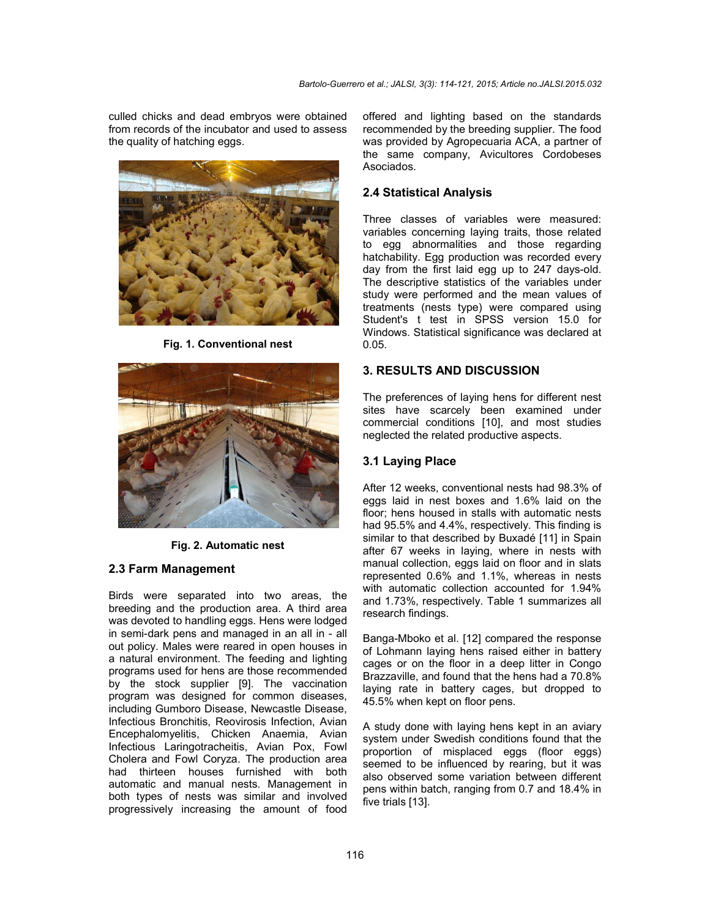culled chicks and dead embryos were obtained from records of the incubator and used to assess the quality of hatching eggs.



**Fig. 1. Conventional nest**



**Fig. 2. Automatic nest**

#### **2.3 Farm Management**

Birds were separated into two areas, the breeding and the production area. A third area was devoted to handling eggs. Hens were lodged in semi-dark pens and managed in an all in - all out policy. Males were reared in open houses in a natural environment. The feeding and lighting programs used for hens are those recommended by the stock supplier [9]. The vaccination program was designed for common diseases, including Gumboro Disease, Newcastle Disease, Infectious Bronchitis, Reovirosis Infection, Avian Encephalomyelitis, Chicken Anaemia, Avian Infectious Laringotracheitis, Avian Pox, Fowl Cholera and Fowl Coryza. The production area had thirteen houses furnished with both automatic and manual nests. Management in both types of nests was similar and involved progressively increasing the amount of food

offered and lighting based on the standards recommended by the breeding supplier. The food was provided by Agropecuaria ACA, a partner of the same company, Avicultores Cordobeses Asociados.

## **2.4 Statistical Analysis**

Three classes of variables were measured: variables concerning laying traits, those related to egg abnormalities and those regarding hatchability. Egg production was recorded every day from the first laid egg up to 247 days-old. The descriptive statistics of the variables under study were performed and the mean values of treatments (nests type) were compared using Student's t test in SPSS version 15.0 for Windows. Statistical significance was declared at 0.05.

## **3. RESULTS AND DISCUSSION**

The preferences of laying hens for different nest sites have scarcely been examined under commercial conditions [10], and most studies neglected the related productive aspects.

#### **3.1 Laying Place**

After 12 weeks, conventional nests had 98.3% of eggs laid in nest boxes and 1.6% laid on the floor; hens housed in stalls with automatic nests had 95.5% and 4.4%, respectively. This finding is similar to that described by Buxadé [11] in Spain after 67 weeks in laying, where in nests with manual collection, eggs laid on floor and in slats represented 0.6% and 1.1%, whereas in nests with automatic collection accounted for 1.94% and 1.73%, respectively. Table 1 summarizes all research findings.

Banga-Mboko et al. [12] compared the response of Lohmann laying hens raised either in battery cages or on the floor in a deep litter in Congo Brazzaville, and found that the hens had a 70.8% laying rate in battery cages, but dropped to 45.5% when kept on floor pens.

A study done with laying hens kept in an aviary system under Swedish conditions found that the proportion of misplaced eggs (floor eggs) seemed to be influenced by rearing, but it was also observed some variation between different pens within batch, ranging from 0.7 and 18.4% in five trials [13].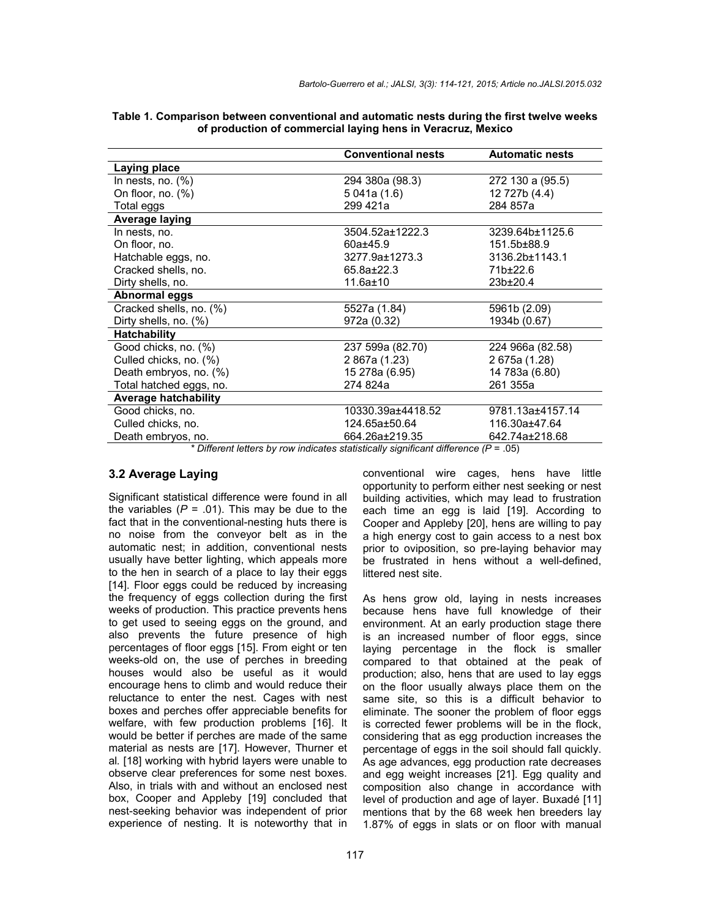| <b>Conventional nests</b> | <b>Automatic nests</b>                                                   |
|---------------------------|--------------------------------------------------------------------------|
|                           |                                                                          |
| 294 380a (98.3)           | 272 130 a (95.5)                                                         |
| 5 041a (1.6)              | 12 727b (4.4)                                                            |
| 299 421a                  | 284 857a                                                                 |
|                           |                                                                          |
| 3504.52a±1222.3           | 3239.64b±1125.6                                                          |
| $60a \pm 45.9$            | 151.5b±88.9                                                              |
| 3277.9a±1273.3            | 3136.2b±1143.1                                                           |
| $65.8a \pm 22.3$          | 71b±22.6                                                                 |
| $11.6a \pm 10$            | $23b \pm 20.4$                                                           |
|                           |                                                                          |
| 5527a (1.84)              | 5961b (2.09)                                                             |
| 972a (0.32)               | 1934b (0.67)                                                             |
|                           |                                                                          |
| 237 599a (82.70)          | 224 966a (82.58)                                                         |
| 2 867a (1.23)             | 2 675a (1.28)                                                            |
| 15 278a (6.95)            | 14 783a (6.80)                                                           |
| 274 824a                  | 261 355a                                                                 |
|                           |                                                                          |
| 10330.39a±4418.52         | 9781.13a±4157.14                                                         |
| 124.65a±50.64             | 116.30a±47.64                                                            |
| 664.26a±219.35            | 642.74a±218.68                                                           |
|                           | * Different letters by recycle displays statistically significant differ |

| Table 1. Comparison between conventional and automatic nests during the first twelve weeks |                                                             |  |  |
|--------------------------------------------------------------------------------------------|-------------------------------------------------------------|--|--|
|                                                                                            | of production of commercial laying hens in Veracruz, Mexico |  |  |

*Different letters by row indicates statistically significant difference (P* = .05)

## **3.2 Average Laying**

Significant statistical difference were found in all the variables  $(P = .01)$ . This may be due to the fact that in the conventional-nesting huts there is no noise from the conveyor belt as in the automatic nest; in addition, conventional nests usually have better lighting, which appeals more to the hen in search of a place to lay their eggs [14]. Floor eggs could be reduced by increasing the frequency of eggs collection during the first weeks of production. This practice prevents hens to get used to seeing eggs on the ground, and also prevents the future presence of high percentages of floor eggs [15]. From eight or ten weeks-old on, the use of perches in breeding houses would also be useful as it would encourage hens to climb and would reduce their reluctance to enter the nest. Cages with nest boxes and perches offer appreciable benefits for welfare, with few production problems [16]. It would be better if perches are made of the same material as nests are [17]. However, Thurner et al*.* [18] working with hybrid layers were unable to observe clear preferences for some nest boxes. Also, in trials with and without an enclosed nest box, Cooper and Appleby [19] concluded that nest-seeking behavior was independent of prior experience of nesting. It is noteworthy that in

conventional wire cages, hens have little opportunity to perform either nest seeking or nest building activities, which may lead to frustration each time an egg is laid [19]. According to Cooper and Appleby [20], hens are willing to pay a high energy cost to gain access to a nest box prior to oviposition, so pre-laying behavior may be frustrated in hens without a well-defined, littered nest site.

As hens grow old, laying in nests increases because hens have full knowledge of their environment. At an early production stage there is an increased number of floor eggs, since laying percentage in the flock is smaller compared to that obtained at the peak of production; also, hens that are used to lay eggs on the floor usually always place them on the same site, so this is a difficult behavior to eliminate. The sooner the problem of floor eggs is corrected fewer problems will be in the flock, considering that as egg production increases the percentage of eggs in the soil should fall quickly. As age advances, egg production rate decreases and egg weight increases [21]. Egg quality and composition also change in accordance with level of production and age of layer. Buxadé [11] mentions that by the 68 week hen breeders lay 1.87% of eggs in slats or on floor with manual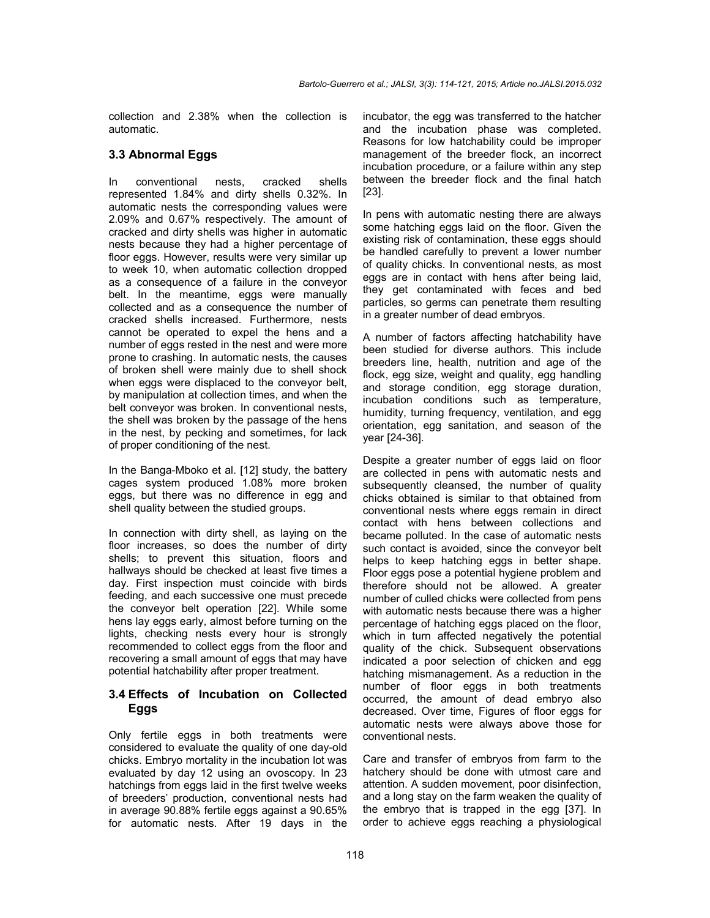collection and 2.38% when the collection is automatic.

#### **3.3 Abnormal Eggs**

In conventional nests, cracked shells represented 1.84% and dirty shells 0.32%. In automatic nests the corresponding values were 2.09% and 0.67% respectively. The amount of cracked and dirty shells was higher in automatic nests because they had a higher percentage of floor eggs. However, results were very similar up to week 10, when automatic collection dropped as a consequence of a failure in the conveyor belt. In the meantime, eggs were manually collected and as a consequence the number of cracked shells increased. Furthermore, nests cannot be operated to expel the hens and a number of eggs rested in the nest and were more prone to crashing. In automatic nests, the causes of broken shell were mainly due to shell shock when eggs were displaced to the conveyor belt, by manipulation at collection times, and when the belt conveyor was broken. In conventional nests, the shell was broken by the passage of the hens in the nest, by pecking and sometimes, for lack of proper conditioning of the nest.

In the Banga-Mboko et al. [12] study, the battery cages system produced 1.08% more broken eggs, but there was no difference in egg and shell quality between the studied groups.

In connection with dirty shell, as laying on the floor increases, so does the number of dirty shells; to prevent this situation, floors and hallways should be checked at least five times a day. First inspection must coincide with birds feeding, and each successive one must precede the conveyor belt operation [22]. While some hens lay eggs early, almost before turning on the lights, checking nests every hour is strongly recommended to collect eggs from the floor and recovering a small amount of eggs that may have potential hatchability after proper treatment.

## **3.4 Effects of Incubation on Collected Eggs**

Only fertile eggs in both treatments were considered to evaluate the quality of one day-old chicks. Embryo mortality in the incubation lot was evaluated by day 12 using an ovoscopy. In 23 hatchings from eggs laid in the first twelve weeks of breeders' production, conventional nests had in average 90.88% fertile eggs against a 90.65% for automatic nests. After 19 days in the

incubator, the egg was transferred to the hatcher and the incubation phase was completed. Reasons for low hatchability could be improper management of the breeder flock, an incorrect incubation procedure, or a failure within any step between the breeder flock and the final hatch [23].

In pens with automatic nesting there are always some hatching eggs laid on the floor. Given the existing risk of contamination, these eggs should be handled carefully to prevent a lower number of quality chicks. In conventional nests, as most eggs are in contact with hens after being laid, they get contaminated with feces and bed particles, so germs can penetrate them resulting in a greater number of dead embryos.

A number of factors affecting hatchability have been studied for diverse authors. This include breeders line, health, nutrition and age of the flock, egg size, weight and quality, egg handling and storage condition, egg storage duration, incubation conditions such as temperature, humidity, turning frequency, ventilation, and egg orientation, egg sanitation, and season of the year [24-36].

Despite a greater number of eggs laid on floor are collected in pens with automatic nests and subsequently cleansed, the number of quality chicks obtained is similar to that obtained from conventional nests where eggs remain in direct contact with hens between collections and became polluted. In the case of automatic nests such contact is avoided, since the conveyor belt helps to keep hatching eggs in better shape. Floor eggs pose a potential hygiene problem and therefore should not be allowed. A greater number of culled chicks were collected from pens with automatic nests because there was a higher percentage of hatching eggs placed on the floor, which in turn affected negatively the potential quality of the chick. Subsequent observations indicated a poor selection of chicken and egg hatching mismanagement. As a reduction in the number of floor eggs in both treatments occurred, the amount of dead embryo also decreased. Over time, Figures of floor eggs for automatic nests were always above those for conventional nests.

Care and transfer of embryos from farm to the hatchery should be done with utmost care and attention. A sudden movement, poor disinfection, and a long stay on the farm weaken the quality of the embryo that is trapped in the egg [37]. In order to achieve eggs reaching a physiological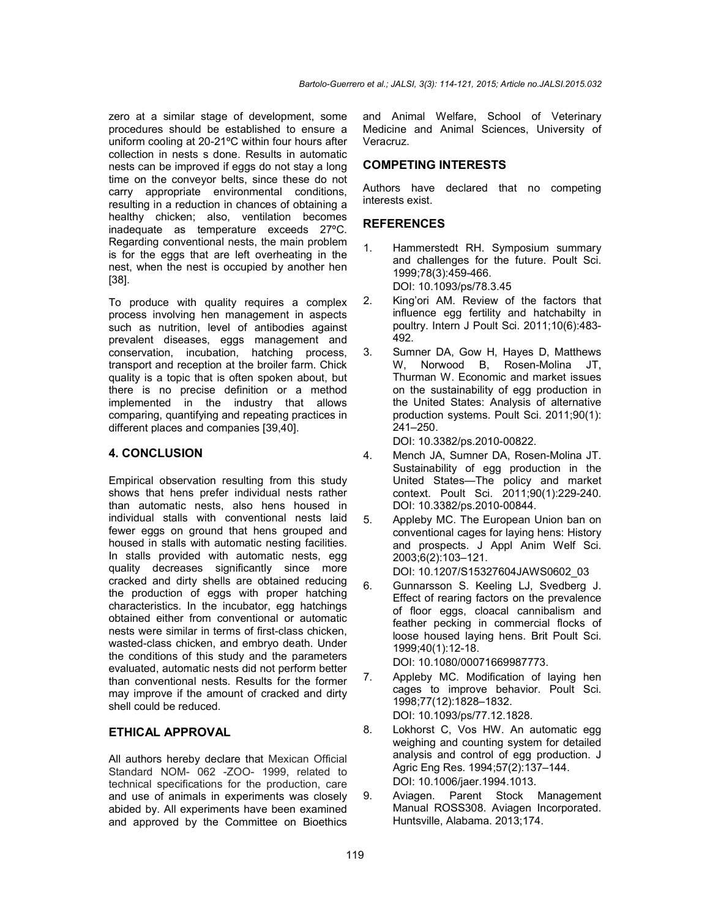zero at a similar stage of development, some procedures should be established to ensure a uniform cooling at 20-21ºC within four hours after collection in nests s done. Results in automatic nests can be improved if eggs do not stay a long time on the conveyor belts, since these do not carry appropriate environmental conditions, resulting in a reduction in chances of obtaining a healthy chicken; also, ventilation becomes inadequate as temperature exceeds 27ºC. Regarding conventional nests, the main problem is for the eggs that are left overheating in the nest, when the nest is occupied by another hen [38].

To produce with quality requires a complex process involving hen management in aspects such as nutrition, level of antibodies against prevalent diseases, eggs management and conservation, incubation, hatching process, transport and reception at the broiler farm. Chick quality is a topic that is often spoken about, but there is no precise definition or a method implemented in the industry that allows comparing, quantifying and repeating practices in different places and companies [39,40].

#### **4. CONCLUSION**

Empirical observation resulting from this study shows that hens prefer individual nests rather than automatic nests, also hens housed in individual stalls with conventional nests laid fewer eggs on ground that hens grouped and housed in stalls with automatic nesting facilities. In stalls provided with automatic nests, egg quality decreases significantly since more cracked and dirty shells are obtained reducing the production of eggs with proper hatching characteristics. In the incubator, egg hatchings obtained either from conventional or automatic nests were similar in terms of first-class chicken, wasted-class chicken, and embryo death. Under the conditions of this study and the parameters evaluated, automatic nests did not perform better than conventional nests. Results for the former may improve if the amount of cracked and dirty shell could be reduced.

#### **ETHICAL APPROVAL**

All authors hereby declare that Mexican Official Standard NOM- 062 -ZOO- 1999, related to technical specifications for the production, care and use of animals in experiments was closely abided by. All experiments have been examined and approved by the Committee on Bioethics

and Animal Welfare, School of Veterinary Medicine and Animal Sciences, University of Veracruz.

#### **COMPETING INTERESTS**

Authors have declared that no competing interests exist.

#### **REFERENCES**

- 1. Hammerstedt RH. Symposium summary and challenges for the future. Poult Sci. 1999;78(3):459-466. DOI: 10.1093/ps/78.3.45
- 2. King'ori AM. Review of the factors that influence egg fertility and hatchabilty in poultry. Intern J Poult Sci. 2011;10(6):483- 492.
- 3. Sumner DA, Gow H, Hayes D, Matthews W, Norwood B, Rosen-Molina JT, Thurman W. Economic and market issues on the sustainability of egg production in the United States: Analysis of alternative production systems. Poult Sci. 2011;90(1): 241–250.

DOI: 10.3382/ps.2010-00822.

- 4. Mench JA, Sumner DA, Rosen-Molina JT. Sustainability of egg production in the United States—The policy and market context. Poult Sci. 2011;90(1):229-240. DOI: 10.3382/ps.2010-00844.
- 5. Appleby MC. The European Union ban on conventional cages for laying hens: History and prospects. J Appl Anim Welf Sci. 2003;6(2):103–121. DOI: 10.1207/S15327604JAWS0602\_03
- 6. Gunnarsson S. Keeling LJ, Svedberg J. Effect of rearing factors on the prevalence of floor eggs, cloacal cannibalism and feather pecking in commercial flocks of loose housed laying hens. Brit Poult Sci. 1999;40(1):12-18.

DOI: 10.1080/00071669987773.

- 7. Appleby MC. Modification of laying hen cages to improve behavior. Poult Sci. 1998;77(12):1828–1832. DOI: 10.1093/ps/77.12.1828.
- 8. Lokhorst C, Vos HW. An automatic egg weighing and counting system for detailed analysis and control of egg production. J Agric Eng Res. 1994;57(2):137–144. DOI: 10.1006/jaer.1994.1013.
- 9. Aviagen. Parent Stock Management Manual ROSS308. Aviagen Incorporated. Huntsville, Alabama. 2013;174.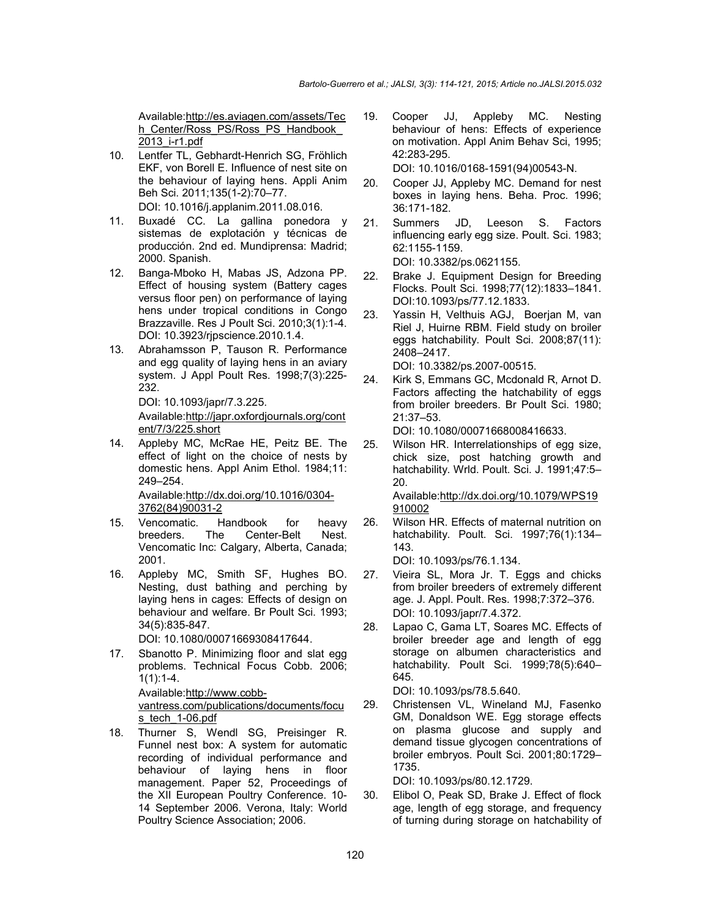Available:http://es.aviagen.com/assets/Tec h\_Center/Ross\_PS/Ross\_PS\_Handbook  $2013$  i-r1.pdf

- 10. Lentfer TL, Gebhardt-Henrich SG, Fröhlich EKF, von Borell E. Influence of nest site on the behaviour of laying hens. Appli Anim Beh Sci. 2011;135(1-2):70–77. DOI: 10.1016/j.applanim.2011.08.016.
- 11. Buxadé CC. La gallina ponedora y sistemas de explotación y técnicas de producción. 2nd ed. Mundiprensa: Madrid; 2000. Spanish.
- 12. Banga-Mboko H, Mabas JS, Adzona PP. Effect of housing system (Battery cages versus floor pen) on performance of laying hens under tropical conditions in Congo Brazzaville. Res J Poult Sci. 2010;3(1):1-4. DOI: 10.3923/rjpscience.2010.1.4.
- 13. Abrahamsson P, Tauson R. Performance and egg quality of laying hens in an aviary system. J Appl Poult Res. 1998;7(3):225- 232.

DOI: 10.1093/japr/7.3.225.

Available:http://japr.oxfordjournals.org/cont ent/7/3/225.short

14. Appleby MC, McRae HE, Peitz BE. The effect of light on the choice of nests by domestic hens. Appl Anim Ethol. 1984;11: 249–254. Available:http://dx.doi.org/10.1016/0304-

3762(84)90031-2

- 15. Vencomatic. Handbook for heavy breeders. The Center-Belt Nest. Vencomatic Inc: Calgary, Alberta, Canada; 2001.
- 16. Appleby MC, Smith SF, Hughes BO. Nesting, dust bathing and perching by laying hens in cages: Effects of design on behaviour and welfare. Br Poult Sci. 1993; 34(5):835-847.

DOI: 10.1080/00071669308417644.

17. Sbanotto P. Minimizing floor and slat egg problems. Technical Focus Cobb. 2006; 1(1):1-4.

> Available:http://www.cobbvantress.com/publications/documents/focu s\_tech\_1-06.pdf

18. Thurner S, Wendl SG, Preisinger R. Funnel nest box: A system for automatic recording of individual performance and behaviour of laying hens in floor management. Paper 52, Proceedings of the XII European Poultry Conference. 10- 14 September 2006. Verona, Italy: World Poultry Science Association; 2006.

19. Cooper JJ, Appleby MC. Nesting behaviour of hens: Effects of experience on motivation. Appl Anim Behav Sci, 1995; 42:283-295.

DOI: 10.1016/0168-1591(94)00543-N.

- 20. Cooper JJ, Appleby MC. Demand for nest boxes in laying hens. Beha. Proc. 1996; 36:171-182.
- 21. Summers JD, Leeson S. Factors influencing early egg size. Poult. Sci. 1983; 62:1155-1159.

DOI: 10.3382/ps.0621155.

- 22. Brake J. Equipment Design for Breeding Flocks. Poult Sci. 1998;77(12):1833–1841. DOI:10.1093/ps/77.12.1833.
- 23. Yassin H, Velthuis AGJ, Boerjan M, van Riel J, Huirne RBM. Field study on broiler eggs hatchability. Poult Sci. 2008;87(11): 2408–2417.

DOI: 10.3382/ps.2007-00515.

24. Kirk S, Emmans GC, Mcdonald R, Arnot D. Factors affecting the hatchability of eggs from broiler breeders. Br Poult Sci. 1980; 21:37–53.

DOI: 10.1080/00071668008416633.

25. Wilson HR. Interrelationships of egg size, chick size, post hatching growth and hatchability. Wrld. Poult. Sci. J. 1991;47:5-20.

Available:http://dx.doi.org/10.1079/WPS19 910002

26. Wilson HR. Effects of maternal nutrition on hatchability. Poult. Sci. 1997;76(1):134– 143.

DOI: 10.1093/ps/76.1.134.

- 27. Vieira SL, Mora Jr. T. Eggs and chicks from broiler breeders of extremely different age. J. Appl. Poult. Res. 1998;7:372–376. DOI: 10.1093/japr/7.4.372.
- 28. Lapao C, Gama LT, Soares MC. Effects of broiler breeder age and length of egg storage on albumen characteristics and hatchability. Poult Sci. 1999;78(5):640-645.

DOI: 10.1093/ps/78.5.640.

29. Christensen VL, Wineland MJ, Fasenko GM, Donaldson WE. Egg storage effects on plasma glucose and supply and demand tissue glycogen concentrations of broiler embryos. Poult Sci. 2001;80:1729– 1735.

DOI: 10.1093/ps/80.12.1729.

30. Elibol O, Peak SD, Brake J. Effect of flock age, length of egg storage, and frequency of turning during storage on hatchability of